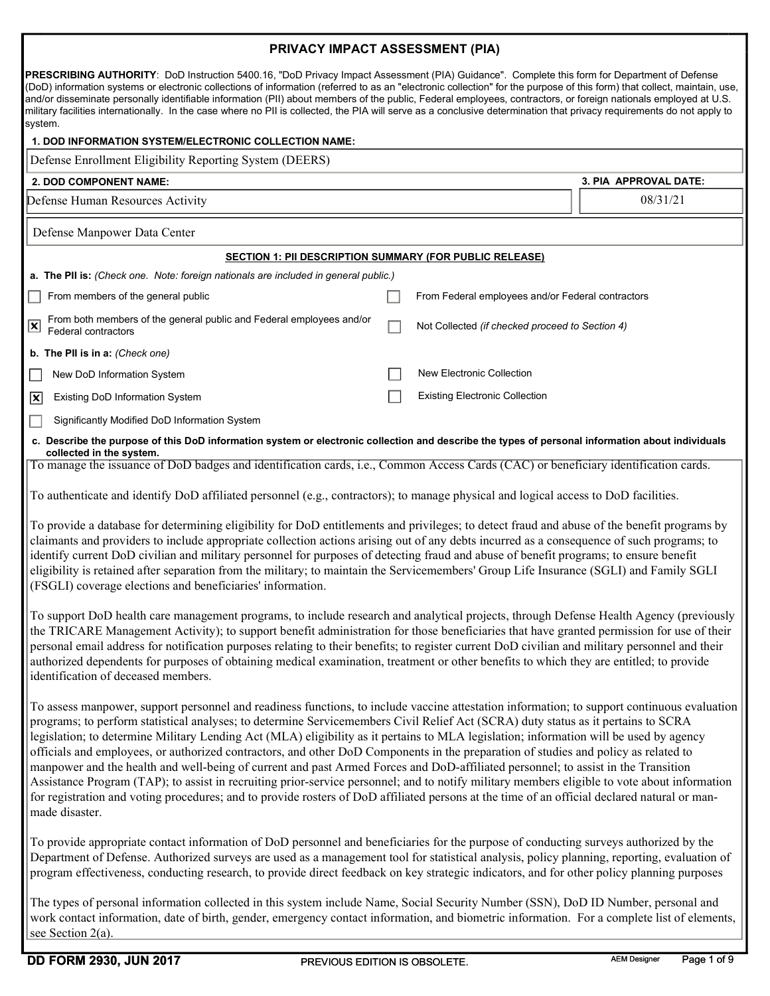|                                                                                                                                                                                                                                                                                                                                                                                                                                                                                                                                                                                                                                                                                         | PRIVACY IMPACT ASSESSMENT (PIA)                                |                       |
|-----------------------------------------------------------------------------------------------------------------------------------------------------------------------------------------------------------------------------------------------------------------------------------------------------------------------------------------------------------------------------------------------------------------------------------------------------------------------------------------------------------------------------------------------------------------------------------------------------------------------------------------------------------------------------------------|----------------------------------------------------------------|-----------------------|
| <b>PRESCRIBING AUTHORITY:</b> DoD Instruction 5400.16, "DoD Privacy Impact Assessment (PIA) Guidance". Complete this form for Department of Defense<br>(DoD) information systems or electronic collections of information (referred to as an "electronic collection" for the purpose of this form) that collect, maintain, use,<br>and/or disseminate personally identifiable information (PII) about members of the public, Federal employees, contractors, or foreign nationals employed at U.S.<br>military facilities internationally. In the case where no PII is collected, the PIA will serve as a conclusive determination that privacy requirements do not apply to<br>system. |                                                                |                       |
| 1. DOD INFORMATION SYSTEM/ELECTRONIC COLLECTION NAME:                                                                                                                                                                                                                                                                                                                                                                                                                                                                                                                                                                                                                                   |                                                                |                       |
| Defense Enrollment Eligibility Reporting System (DEERS)                                                                                                                                                                                                                                                                                                                                                                                                                                                                                                                                                                                                                                 |                                                                |                       |
| 2. DOD COMPONENT NAME:                                                                                                                                                                                                                                                                                                                                                                                                                                                                                                                                                                                                                                                                  |                                                                | 3. PIA APPROVAL DATE: |
| Defense Human Resources Activity                                                                                                                                                                                                                                                                                                                                                                                                                                                                                                                                                                                                                                                        |                                                                | 08/31/21              |
| Defense Manpower Data Center                                                                                                                                                                                                                                                                                                                                                                                                                                                                                                                                                                                                                                                            |                                                                |                       |
|                                                                                                                                                                                                                                                                                                                                                                                                                                                                                                                                                                                                                                                                                         | <b>SECTION 1: PII DESCRIPTION SUMMARY (FOR PUBLIC RELEASE)</b> |                       |
| a. The PII is: (Check one. Note: foreign nationals are included in general public.)                                                                                                                                                                                                                                                                                                                                                                                                                                                                                                                                                                                                     |                                                                |                       |
| From members of the general public                                                                                                                                                                                                                                                                                                                                                                                                                                                                                                                                                                                                                                                      | From Federal employees and/or Federal contractors              |                       |
| From both members of the general public and Federal employees and/or<br>$\boxed{\mathbf{x}}$<br>Federal contractors                                                                                                                                                                                                                                                                                                                                                                                                                                                                                                                                                                     | Not Collected (if checked proceed to Section 4)                |                       |
| b. The PII is in a: (Check one)                                                                                                                                                                                                                                                                                                                                                                                                                                                                                                                                                                                                                                                         |                                                                |                       |
| New DoD Information System                                                                                                                                                                                                                                                                                                                                                                                                                                                                                                                                                                                                                                                              | New Electronic Collection                                      |                       |
| <b>Existing DoD Information System</b><br>$\vert x \vert$                                                                                                                                                                                                                                                                                                                                                                                                                                                                                                                                                                                                                               | <b>Existing Electronic Collection</b>                          |                       |
| Significantly Modified DoD Information System<br>$\Box$                                                                                                                                                                                                                                                                                                                                                                                                                                                                                                                                                                                                                                 |                                                                |                       |
| c. Describe the purpose of this DoD information system or electronic collection and describe the types of personal information about individuals                                                                                                                                                                                                                                                                                                                                                                                                                                                                                                                                        |                                                                |                       |
| collected in the system.<br>To manage the issuance of DoD badges and identification cards, i.e., Common Access Cards (CAC) or beneficiary identification cards.                                                                                                                                                                                                                                                                                                                                                                                                                                                                                                                         |                                                                |                       |
| To authenticate and identify DoD affiliated personnel (e.g., contractors); to manage physical and logical access to DoD facilities.                                                                                                                                                                                                                                                                                                                                                                                                                                                                                                                                                     |                                                                |                       |
| To provide a database for determining eligibility for DoD entitlements and privileges; to detect fraud and abuse of the benefit programs by<br>claimants and providers to include appropriate collection actions arising out of any debts incurred as a consequence of such programs; to<br>identify current DoD civilian and military personnel for purposes of detecting fraud and abuse of benefit programs; to ensure benefit<br>eligibility is retained after separation from the military; to maintain the Servicemembers' Group Life Insurance (SGLI) and Family SGLI                                                                                                            |                                                                |                       |

(FSGLI) coverage elections and beneficiaries' information. To support DoD health care management programs, to include research and analytical projects, through Defense Health Agency (previously

the TRICARE Management Activity); to support benefit administration for those beneficiaries that have granted permission for use of their personal email address for notification purposes relating to their benefits; to register current DoD civilian and military personnel and their authorized dependents for purposes of obtaining medical examination, treatment or other benefits to which they are entitled; to provide identification of deceased members.

To assess manpower, support personnel and readiness functions, to include vaccine attestation information; to support continuous evaluation programs; to perform statistical analyses; to determine Servicemembers Civil Relief Act (SCRA) duty status as it pertains to SCRA legislation; to determine Military Lending Act (MLA) eligibility as it pertains to MLA legislation; information will be used by agency officials and employees, or authorized contractors, and other DoD Components in the preparation of studies and policy as related to manpower and the health and well-being of current and past Armed Forces and DoD-affiliated personnel; to assist in the Transition Assistance Program (TAP); to assist in recruiting prior-service personnel; and to notify military members eligible to vote about information for registration and voting procedures; and to provide rosters of DoD affiliated persons at the time of an official declared natural or manmade disaster.

To provide appropriate contact information of DoD personnel and beneficiaries for the purpose of conducting surveys authorized by the Department of Defense. Authorized surveys are used as a management tool for statistical analysis, policy planning, reporting, evaluation of program effectiveness, conducting research, to provide direct feedback on key strategic indicators, and for other policy planning purposes

The types of personal information collected in this system include Name, Social Security Number (SSN), DoD ID Number, personal and work contact information, date of birth, gender, emergency contact information, and biometric information. For a complete list of elements, see Section 2(a).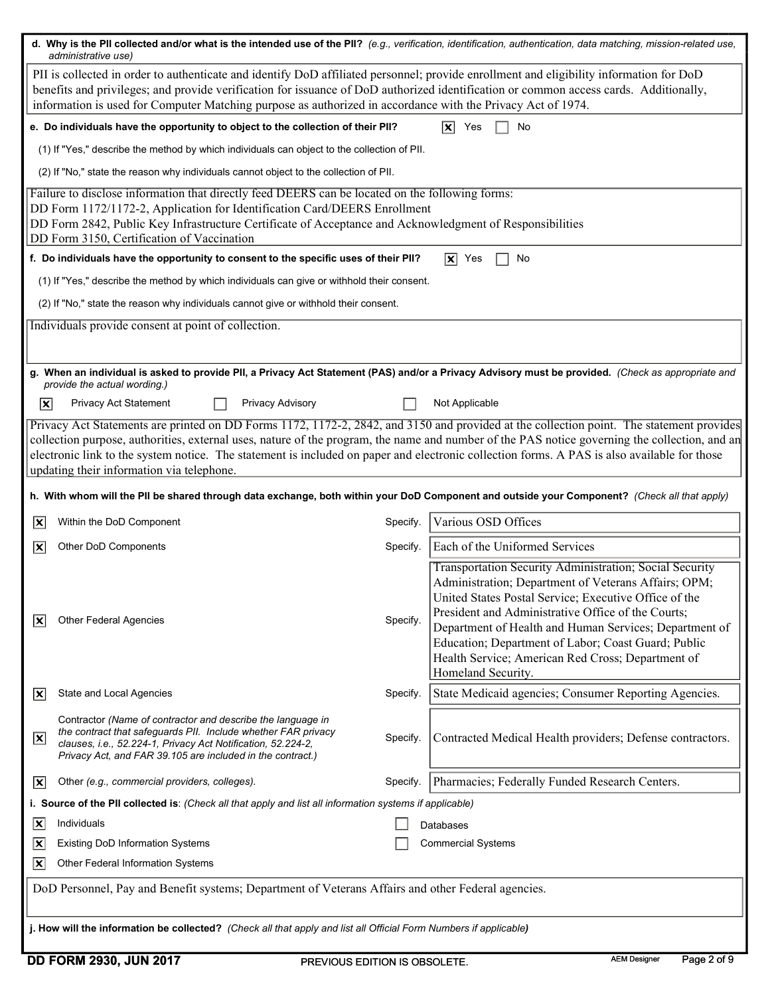| PII is collected in order to authenticate and identify DoD affiliated personnel; provide enrollment and eligibility information for DoD<br>benefits and privileges; and provide verification for issuance of DoD authorized identification or common access cards. Additionally,<br>information is used for Computer Matching purpose as authorized in accordance with the Privacy Act of 1974.<br>e. Do individuals have the opportunity to object to the collection of their PII?<br>$ \mathbf{x} $<br>No<br>Yes<br>(1) If "Yes," describe the method by which individuals can object to the collection of PII.<br>(2) If "No," state the reason why individuals cannot object to the collection of PII.<br>Failure to disclose information that directly feed DEERS can be located on the following forms:<br>DD Form 1172/1172-2, Application for Identification Card/DEERS Enrollment<br>DD Form 2842, Public Key Infrastructure Certificate of Acceptance and Acknowledgment of Responsibilities<br>DD Form 3150, Certification of Vaccination<br>f. Do individuals have the opportunity to consent to the specific uses of their PII?<br>$ \mathbf{x} $ Yes<br>No<br>(1) If "Yes," describe the method by which individuals can give or withhold their consent.<br>(2) If "No," state the reason why individuals cannot give or withhold their consent.<br>Individuals provide consent at point of collection.<br>g. When an individual is asked to provide Pll, a Privacy Act Statement (PAS) and/or a Privacy Advisory must be provided. (Check as appropriate and<br>provide the actual wording.)<br>$ \mathbf{x} $<br>Privacy Act Statement<br>Privacy Advisory<br>Not Applicable<br>Privacy Act Statements are printed on DD Forms 1172, 1172-2, 2842, and 3150 and provided at the collection point. The statement provides<br>collection purpose, authorities, external uses, nature of the program, the name and number of the PAS notice governing the collection, and an<br>electronic link to the system notice. The statement is included on paper and electronic collection forms. A PAS is also available for those<br>updating their information via telephone.<br>h. With whom will the PII be shared through data exchange, both within your DoD Component and outside your Component? (Check all that apply)<br>Various OSD Offices<br>Within the DoD Component<br>Specify.<br>$ \mathsf{x} $<br>Each of the Uniformed Services<br>$ \mathbf{x} $<br>Other DoD Components<br>Specify.<br>Transportation Security Administration; Social Security<br>Administration; Department of Veterans Affairs; OPM;<br>United States Postal Service; Executive Office of the<br>President and Administrative Office of the Courts;<br>Other Federal Agencies<br>Specify.<br>x<br>Department of Health and Human Services; Department of<br>Education; Department of Labor; Coast Guard; Public<br>Health Service; American Red Cross; Department of<br>Homeland Security.<br>State Medicaid agencies; Consumer Reporting Agencies.<br>State and Local Agencies<br>Specify.<br>$ \mathbf{x} $<br>Contractor (Name of contractor and describe the language in<br>the contract that safeguards PII. Include whether FAR privacy<br>Contracted Medical Health providers; Defense contractors.<br>$\boxed{\mathbf{x}}$<br>Specify.<br>clauses, i.e., 52.224-1, Privacy Act Notification, 52.224-2,<br>Privacy Act, and FAR 39.105 are included in the contract.)<br>Pharmacies; Federally Funded Research Centers.<br>Other (e.g., commercial providers, colleges).<br>Specify.<br>$ \mathsf{x} $<br>i. Source of the PII collected is: (Check all that apply and list all information systems if applicable)<br>Individuals<br>$ \mathbf{x} $<br>Databases<br><b>Existing DoD Information Systems</b><br><b>Commercial Systems</b><br>$ \overline{\mathbf{x}} $<br>$ \overline{\mathbf{x}} $<br>Other Federal Information Systems<br>DoD Personnel, Pay and Benefit systems; Department of Veterans Affairs and other Federal agencies.<br>j. How will the information be collected? (Check all that apply and list all Official Form Numbers if applicable) | d. Why is the PII collected and/or what is the intended use of the PII? (e.g., verification, identification, authentication, data matching, mission-related use,<br>administrative use) |  |
|------------------------------------------------------------------------------------------------------------------------------------------------------------------------------------------------------------------------------------------------------------------------------------------------------------------------------------------------------------------------------------------------------------------------------------------------------------------------------------------------------------------------------------------------------------------------------------------------------------------------------------------------------------------------------------------------------------------------------------------------------------------------------------------------------------------------------------------------------------------------------------------------------------------------------------------------------------------------------------------------------------------------------------------------------------------------------------------------------------------------------------------------------------------------------------------------------------------------------------------------------------------------------------------------------------------------------------------------------------------------------------------------------------------------------------------------------------------------------------------------------------------------------------------------------------------------------------------------------------------------------------------------------------------------------------------------------------------------------------------------------------------------------------------------------------------------------------------------------------------------------------------------------------------------------------------------------------------------------------------------------------------------------------------------------------------------------------------------------------------------------------------------------------------------------------------------------------------------------------------------------------------------------------------------------------------------------------------------------------------------------------------------------------------------------------------------------------------------------------------------------------------------------------------------------------------------------------------------------------------------------------------------------------------------------------------------------------------------------------------------------------------------------------------------------------------------------------------------------------------------------------------------------------------------------------------------------------------------------------------------------------------------------------------------------------------------------------------------------------------------------------------------------------------------------------------------------------------------------------------------------------------------------------------------------------------------------------------------------------------------------------------------------------------------------------------------------------------------------------------------------------------------------------------------------------------------------------------------------------------------------------------------------------------------------------------------------------------------------------------------------------------------------------------------------------------------------------------------------------------------------------------------------------------------------------------------------------------------------------------------------------------------------------------------------------------------------------------------------------------------------------------------------------------------|-----------------------------------------------------------------------------------------------------------------------------------------------------------------------------------------|--|
|                                                                                                                                                                                                                                                                                                                                                                                                                                                                                                                                                                                                                                                                                                                                                                                                                                                                                                                                                                                                                                                                                                                                                                                                                                                                                                                                                                                                                                                                                                                                                                                                                                                                                                                                                                                                                                                                                                                                                                                                                                                                                                                                                                                                                                                                                                                                                                                                                                                                                                                                                                                                                                                                                                                                                                                                                                                                                                                                                                                                                                                                                                                                                                                                                                                                                                                                                                                                                                                                                                                                                                                                                                                                                                                                                                                                                                                                                                                                                                                                                                                                                                                                                                        |                                                                                                                                                                                         |  |
|                                                                                                                                                                                                                                                                                                                                                                                                                                                                                                                                                                                                                                                                                                                                                                                                                                                                                                                                                                                                                                                                                                                                                                                                                                                                                                                                                                                                                                                                                                                                                                                                                                                                                                                                                                                                                                                                                                                                                                                                                                                                                                                                                                                                                                                                                                                                                                                                                                                                                                                                                                                                                                                                                                                                                                                                                                                                                                                                                                                                                                                                                                                                                                                                                                                                                                                                                                                                                                                                                                                                                                                                                                                                                                                                                                                                                                                                                                                                                                                                                                                                                                                                                                        |                                                                                                                                                                                         |  |
|                                                                                                                                                                                                                                                                                                                                                                                                                                                                                                                                                                                                                                                                                                                                                                                                                                                                                                                                                                                                                                                                                                                                                                                                                                                                                                                                                                                                                                                                                                                                                                                                                                                                                                                                                                                                                                                                                                                                                                                                                                                                                                                                                                                                                                                                                                                                                                                                                                                                                                                                                                                                                                                                                                                                                                                                                                                                                                                                                                                                                                                                                                                                                                                                                                                                                                                                                                                                                                                                                                                                                                                                                                                                                                                                                                                                                                                                                                                                                                                                                                                                                                                                                                        |                                                                                                                                                                                         |  |
|                                                                                                                                                                                                                                                                                                                                                                                                                                                                                                                                                                                                                                                                                                                                                                                                                                                                                                                                                                                                                                                                                                                                                                                                                                                                                                                                                                                                                                                                                                                                                                                                                                                                                                                                                                                                                                                                                                                                                                                                                                                                                                                                                                                                                                                                                                                                                                                                                                                                                                                                                                                                                                                                                                                                                                                                                                                                                                                                                                                                                                                                                                                                                                                                                                                                                                                                                                                                                                                                                                                                                                                                                                                                                                                                                                                                                                                                                                                                                                                                                                                                                                                                                                        |                                                                                                                                                                                         |  |
|                                                                                                                                                                                                                                                                                                                                                                                                                                                                                                                                                                                                                                                                                                                                                                                                                                                                                                                                                                                                                                                                                                                                                                                                                                                                                                                                                                                                                                                                                                                                                                                                                                                                                                                                                                                                                                                                                                                                                                                                                                                                                                                                                                                                                                                                                                                                                                                                                                                                                                                                                                                                                                                                                                                                                                                                                                                                                                                                                                                                                                                                                                                                                                                                                                                                                                                                                                                                                                                                                                                                                                                                                                                                                                                                                                                                                                                                                                                                                                                                                                                                                                                                                                        |                                                                                                                                                                                         |  |
|                                                                                                                                                                                                                                                                                                                                                                                                                                                                                                                                                                                                                                                                                                                                                                                                                                                                                                                                                                                                                                                                                                                                                                                                                                                                                                                                                                                                                                                                                                                                                                                                                                                                                                                                                                                                                                                                                                                                                                                                                                                                                                                                                                                                                                                                                                                                                                                                                                                                                                                                                                                                                                                                                                                                                                                                                                                                                                                                                                                                                                                                                                                                                                                                                                                                                                                                                                                                                                                                                                                                                                                                                                                                                                                                                                                                                                                                                                                                                                                                                                                                                                                                                                        |                                                                                                                                                                                         |  |
|                                                                                                                                                                                                                                                                                                                                                                                                                                                                                                                                                                                                                                                                                                                                                                                                                                                                                                                                                                                                                                                                                                                                                                                                                                                                                                                                                                                                                                                                                                                                                                                                                                                                                                                                                                                                                                                                                                                                                                                                                                                                                                                                                                                                                                                                                                                                                                                                                                                                                                                                                                                                                                                                                                                                                                                                                                                                                                                                                                                                                                                                                                                                                                                                                                                                                                                                                                                                                                                                                                                                                                                                                                                                                                                                                                                                                                                                                                                                                                                                                                                                                                                                                                        |                                                                                                                                                                                         |  |
|                                                                                                                                                                                                                                                                                                                                                                                                                                                                                                                                                                                                                                                                                                                                                                                                                                                                                                                                                                                                                                                                                                                                                                                                                                                                                                                                                                                                                                                                                                                                                                                                                                                                                                                                                                                                                                                                                                                                                                                                                                                                                                                                                                                                                                                                                                                                                                                                                                                                                                                                                                                                                                                                                                                                                                                                                                                                                                                                                                                                                                                                                                                                                                                                                                                                                                                                                                                                                                                                                                                                                                                                                                                                                                                                                                                                                                                                                                                                                                                                                                                                                                                                                                        |                                                                                                                                                                                         |  |
|                                                                                                                                                                                                                                                                                                                                                                                                                                                                                                                                                                                                                                                                                                                                                                                                                                                                                                                                                                                                                                                                                                                                                                                                                                                                                                                                                                                                                                                                                                                                                                                                                                                                                                                                                                                                                                                                                                                                                                                                                                                                                                                                                                                                                                                                                                                                                                                                                                                                                                                                                                                                                                                                                                                                                                                                                                                                                                                                                                                                                                                                                                                                                                                                                                                                                                                                                                                                                                                                                                                                                                                                                                                                                                                                                                                                                                                                                                                                                                                                                                                                                                                                                                        |                                                                                                                                                                                         |  |
|                                                                                                                                                                                                                                                                                                                                                                                                                                                                                                                                                                                                                                                                                                                                                                                                                                                                                                                                                                                                                                                                                                                                                                                                                                                                                                                                                                                                                                                                                                                                                                                                                                                                                                                                                                                                                                                                                                                                                                                                                                                                                                                                                                                                                                                                                                                                                                                                                                                                                                                                                                                                                                                                                                                                                                                                                                                                                                                                                                                                                                                                                                                                                                                                                                                                                                                                                                                                                                                                                                                                                                                                                                                                                                                                                                                                                                                                                                                                                                                                                                                                                                                                                                        |                                                                                                                                                                                         |  |
|                                                                                                                                                                                                                                                                                                                                                                                                                                                                                                                                                                                                                                                                                                                                                                                                                                                                                                                                                                                                                                                                                                                                                                                                                                                                                                                                                                                                                                                                                                                                                                                                                                                                                                                                                                                                                                                                                                                                                                                                                                                                                                                                                                                                                                                                                                                                                                                                                                                                                                                                                                                                                                                                                                                                                                                                                                                                                                                                                                                                                                                                                                                                                                                                                                                                                                                                                                                                                                                                                                                                                                                                                                                                                                                                                                                                                                                                                                                                                                                                                                                                                                                                                                        |                                                                                                                                                                                         |  |
|                                                                                                                                                                                                                                                                                                                                                                                                                                                                                                                                                                                                                                                                                                                                                                                                                                                                                                                                                                                                                                                                                                                                                                                                                                                                                                                                                                                                                                                                                                                                                                                                                                                                                                                                                                                                                                                                                                                                                                                                                                                                                                                                                                                                                                                                                                                                                                                                                                                                                                                                                                                                                                                                                                                                                                                                                                                                                                                                                                                                                                                                                                                                                                                                                                                                                                                                                                                                                                                                                                                                                                                                                                                                                                                                                                                                                                                                                                                                                                                                                                                                                                                                                                        |                                                                                                                                                                                         |  |
|                                                                                                                                                                                                                                                                                                                                                                                                                                                                                                                                                                                                                                                                                                                                                                                                                                                                                                                                                                                                                                                                                                                                                                                                                                                                                                                                                                                                                                                                                                                                                                                                                                                                                                                                                                                                                                                                                                                                                                                                                                                                                                                                                                                                                                                                                                                                                                                                                                                                                                                                                                                                                                                                                                                                                                                                                                                                                                                                                                                                                                                                                                                                                                                                                                                                                                                                                                                                                                                                                                                                                                                                                                                                                                                                                                                                                                                                                                                                                                                                                                                                                                                                                                        |                                                                                                                                                                                         |  |
|                                                                                                                                                                                                                                                                                                                                                                                                                                                                                                                                                                                                                                                                                                                                                                                                                                                                                                                                                                                                                                                                                                                                                                                                                                                                                                                                                                                                                                                                                                                                                                                                                                                                                                                                                                                                                                                                                                                                                                                                                                                                                                                                                                                                                                                                                                                                                                                                                                                                                                                                                                                                                                                                                                                                                                                                                                                                                                                                                                                                                                                                                                                                                                                                                                                                                                                                                                                                                                                                                                                                                                                                                                                                                                                                                                                                                                                                                                                                                                                                                                                                                                                                                                        |                                                                                                                                                                                         |  |
|                                                                                                                                                                                                                                                                                                                                                                                                                                                                                                                                                                                                                                                                                                                                                                                                                                                                                                                                                                                                                                                                                                                                                                                                                                                                                                                                                                                                                                                                                                                                                                                                                                                                                                                                                                                                                                                                                                                                                                                                                                                                                                                                                                                                                                                                                                                                                                                                                                                                                                                                                                                                                                                                                                                                                                                                                                                                                                                                                                                                                                                                                                                                                                                                                                                                                                                                                                                                                                                                                                                                                                                                                                                                                                                                                                                                                                                                                                                                                                                                                                                                                                                                                                        |                                                                                                                                                                                         |  |
|                                                                                                                                                                                                                                                                                                                                                                                                                                                                                                                                                                                                                                                                                                                                                                                                                                                                                                                                                                                                                                                                                                                                                                                                                                                                                                                                                                                                                                                                                                                                                                                                                                                                                                                                                                                                                                                                                                                                                                                                                                                                                                                                                                                                                                                                                                                                                                                                                                                                                                                                                                                                                                                                                                                                                                                                                                                                                                                                                                                                                                                                                                                                                                                                                                                                                                                                                                                                                                                                                                                                                                                                                                                                                                                                                                                                                                                                                                                                                                                                                                                                                                                                                                        |                                                                                                                                                                                         |  |
|                                                                                                                                                                                                                                                                                                                                                                                                                                                                                                                                                                                                                                                                                                                                                                                                                                                                                                                                                                                                                                                                                                                                                                                                                                                                                                                                                                                                                                                                                                                                                                                                                                                                                                                                                                                                                                                                                                                                                                                                                                                                                                                                                                                                                                                                                                                                                                                                                                                                                                                                                                                                                                                                                                                                                                                                                                                                                                                                                                                                                                                                                                                                                                                                                                                                                                                                                                                                                                                                                                                                                                                                                                                                                                                                                                                                                                                                                                                                                                                                                                                                                                                                                                        |                                                                                                                                                                                         |  |
|                                                                                                                                                                                                                                                                                                                                                                                                                                                                                                                                                                                                                                                                                                                                                                                                                                                                                                                                                                                                                                                                                                                                                                                                                                                                                                                                                                                                                                                                                                                                                                                                                                                                                                                                                                                                                                                                                                                                                                                                                                                                                                                                                                                                                                                                                                                                                                                                                                                                                                                                                                                                                                                                                                                                                                                                                                                                                                                                                                                                                                                                                                                                                                                                                                                                                                                                                                                                                                                                                                                                                                                                                                                                                                                                                                                                                                                                                                                                                                                                                                                                                                                                                                        |                                                                                                                                                                                         |  |
|                                                                                                                                                                                                                                                                                                                                                                                                                                                                                                                                                                                                                                                                                                                                                                                                                                                                                                                                                                                                                                                                                                                                                                                                                                                                                                                                                                                                                                                                                                                                                                                                                                                                                                                                                                                                                                                                                                                                                                                                                                                                                                                                                                                                                                                                                                                                                                                                                                                                                                                                                                                                                                                                                                                                                                                                                                                                                                                                                                                                                                                                                                                                                                                                                                                                                                                                                                                                                                                                                                                                                                                                                                                                                                                                                                                                                                                                                                                                                                                                                                                                                                                                                                        |                                                                                                                                                                                         |  |
|                                                                                                                                                                                                                                                                                                                                                                                                                                                                                                                                                                                                                                                                                                                                                                                                                                                                                                                                                                                                                                                                                                                                                                                                                                                                                                                                                                                                                                                                                                                                                                                                                                                                                                                                                                                                                                                                                                                                                                                                                                                                                                                                                                                                                                                                                                                                                                                                                                                                                                                                                                                                                                                                                                                                                                                                                                                                                                                                                                                                                                                                                                                                                                                                                                                                                                                                                                                                                                                                                                                                                                                                                                                                                                                                                                                                                                                                                                                                                                                                                                                                                                                                                                        |                                                                                                                                                                                         |  |
|                                                                                                                                                                                                                                                                                                                                                                                                                                                                                                                                                                                                                                                                                                                                                                                                                                                                                                                                                                                                                                                                                                                                                                                                                                                                                                                                                                                                                                                                                                                                                                                                                                                                                                                                                                                                                                                                                                                                                                                                                                                                                                                                                                                                                                                                                                                                                                                                                                                                                                                                                                                                                                                                                                                                                                                                                                                                                                                                                                                                                                                                                                                                                                                                                                                                                                                                                                                                                                                                                                                                                                                                                                                                                                                                                                                                                                                                                                                                                                                                                                                                                                                                                                        |                                                                                                                                                                                         |  |
|                                                                                                                                                                                                                                                                                                                                                                                                                                                                                                                                                                                                                                                                                                                                                                                                                                                                                                                                                                                                                                                                                                                                                                                                                                                                                                                                                                                                                                                                                                                                                                                                                                                                                                                                                                                                                                                                                                                                                                                                                                                                                                                                                                                                                                                                                                                                                                                                                                                                                                                                                                                                                                                                                                                                                                                                                                                                                                                                                                                                                                                                                                                                                                                                                                                                                                                                                                                                                                                                                                                                                                                                                                                                                                                                                                                                                                                                                                                                                                                                                                                                                                                                                                        |                                                                                                                                                                                         |  |
|                                                                                                                                                                                                                                                                                                                                                                                                                                                                                                                                                                                                                                                                                                                                                                                                                                                                                                                                                                                                                                                                                                                                                                                                                                                                                                                                                                                                                                                                                                                                                                                                                                                                                                                                                                                                                                                                                                                                                                                                                                                                                                                                                                                                                                                                                                                                                                                                                                                                                                                                                                                                                                                                                                                                                                                                                                                                                                                                                                                                                                                                                                                                                                                                                                                                                                                                                                                                                                                                                                                                                                                                                                                                                                                                                                                                                                                                                                                                                                                                                                                                                                                                                                        |                                                                                                                                                                                         |  |
|                                                                                                                                                                                                                                                                                                                                                                                                                                                                                                                                                                                                                                                                                                                                                                                                                                                                                                                                                                                                                                                                                                                                                                                                                                                                                                                                                                                                                                                                                                                                                                                                                                                                                                                                                                                                                                                                                                                                                                                                                                                                                                                                                                                                                                                                                                                                                                                                                                                                                                                                                                                                                                                                                                                                                                                                                                                                                                                                                                                                                                                                                                                                                                                                                                                                                                                                                                                                                                                                                                                                                                                                                                                                                                                                                                                                                                                                                                                                                                                                                                                                                                                                                                        |                                                                                                                                                                                         |  |
|                                                                                                                                                                                                                                                                                                                                                                                                                                                                                                                                                                                                                                                                                                                                                                                                                                                                                                                                                                                                                                                                                                                                                                                                                                                                                                                                                                                                                                                                                                                                                                                                                                                                                                                                                                                                                                                                                                                                                                                                                                                                                                                                                                                                                                                                                                                                                                                                                                                                                                                                                                                                                                                                                                                                                                                                                                                                                                                                                                                                                                                                                                                                                                                                                                                                                                                                                                                                                                                                                                                                                                                                                                                                                                                                                                                                                                                                                                                                                                                                                                                                                                                                                                        |                                                                                                                                                                                         |  |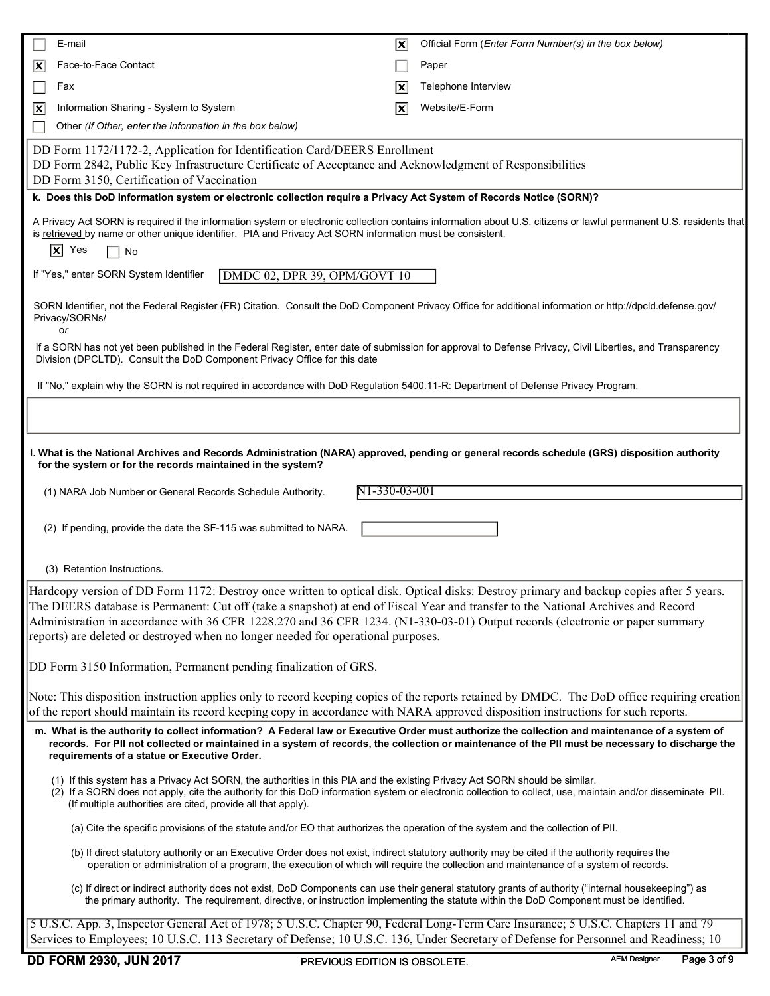|                           | E-mail                                                                                                                                                                                                                                                                                                                                                                                                                                                                                             | $ \mathbf{x} $ | Official Form (Enter Form Number(s) in the box below) |
|---------------------------|----------------------------------------------------------------------------------------------------------------------------------------------------------------------------------------------------------------------------------------------------------------------------------------------------------------------------------------------------------------------------------------------------------------------------------------------------------------------------------------------------|----------------|-------------------------------------------------------|
| $ \mathbf{x} $            | Face-to-Face Contact                                                                                                                                                                                                                                                                                                                                                                                                                                                                               |                | Paper                                                 |
|                           | Fax                                                                                                                                                                                                                                                                                                                                                                                                                                                                                                | X              | Telephone Interview                                   |
| $ \overline{\mathbf{x}} $ | Information Sharing - System to System                                                                                                                                                                                                                                                                                                                                                                                                                                                             | $ \mathbf{x} $ | Website/E-Form                                        |
|                           | Other (If Other, enter the information in the box below)                                                                                                                                                                                                                                                                                                                                                                                                                                           |                |                                                       |
|                           | DD Form 1172/1172-2, Application for Identification Card/DEERS Enrollment<br>DD Form 2842, Public Key Infrastructure Certificate of Acceptance and Acknowledgment of Responsibilities<br>DD Form 3150, Certification of Vaccination                                                                                                                                                                                                                                                                |                |                                                       |
|                           | k. Does this DoD Information system or electronic collection require a Privacy Act System of Records Notice (SORN)?                                                                                                                                                                                                                                                                                                                                                                                |                |                                                       |
|                           | A Privacy Act SORN is required if the information system or electronic collection contains information about U.S. citizens or lawful permanent U.S. residents that<br>is retrieved by name or other unique identifier. PIA and Privacy Act SORN information must be consistent.<br>$ \mathbf{x} $<br>Yes<br>No                                                                                                                                                                                     |                |                                                       |
|                           | If "Yes," enter SORN System Identifier<br>DMDC 02, DPR 39, OPM/GOVT 10                                                                                                                                                                                                                                                                                                                                                                                                                             |                |                                                       |
|                           | SORN Identifier, not the Federal Register (FR) Citation. Consult the DoD Component Privacy Office for additional information or http://dpcld.defense.gov/<br>Privacy/SORNs/<br>or                                                                                                                                                                                                                                                                                                                  |                |                                                       |
|                           | If a SORN has not yet been published in the Federal Register, enter date of submission for approval to Defense Privacy, Civil Liberties, and Transparency<br>Division (DPCLTD). Consult the DoD Component Privacy Office for this date                                                                                                                                                                                                                                                             |                |                                                       |
|                           | If "No," explain why the SORN is not required in accordance with DoD Regulation 5400.11-R: Department of Defense Privacy Program.                                                                                                                                                                                                                                                                                                                                                                  |                |                                                       |
|                           |                                                                                                                                                                                                                                                                                                                                                                                                                                                                                                    |                |                                                       |
|                           | I. What is the National Archives and Records Administration (NARA) approved, pending or general records schedule (GRS) disposition authority<br>for the system or for the records maintained in the system?<br>N1-330-03-001<br>(1) NARA Job Number or General Records Schedule Authority.                                                                                                                                                                                                         |                |                                                       |
|                           |                                                                                                                                                                                                                                                                                                                                                                                                                                                                                                    |                |                                                       |
|                           | (2) If pending, provide the date the SF-115 was submitted to NARA.                                                                                                                                                                                                                                                                                                                                                                                                                                 |                |                                                       |
|                           | (3) Retention Instructions.                                                                                                                                                                                                                                                                                                                                                                                                                                                                        |                |                                                       |
|                           | Hardcopy version of DD Form 1172: Destroy once written to optical disk. Optical disks: Destroy primary and backup copies after 5 years.<br>The DEERS database is Permanent: Cut off (take a snapshot) at end of Fiscal Year and transfer to the National Archives and Record<br>Administration in accordance with 36 CFR 1228.270 and 36 CFR 1234. (N1-330-03-01) Output records (electronic or paper summary<br>reports) are deleted or destroyed when no longer needed for operational purposes. |                |                                                       |
|                           | DD Form 3150 Information, Permanent pending finalization of GRS.                                                                                                                                                                                                                                                                                                                                                                                                                                   |                |                                                       |
|                           | Note: This disposition instruction applies only to record keeping copies of the reports retained by DMDC. The DoD office requiring creation<br>of the report should maintain its record keeping copy in accordance with NARA approved disposition instructions for such reports.                                                                                                                                                                                                                   |                |                                                       |
|                           | m. What is the authority to collect information? A Federal law or Executive Order must authorize the collection and maintenance of a system of<br>records. For PII not collected or maintained in a system of records, the collection or maintenance of the PII must be necessary to discharge the<br>requirements of a statue or Executive Order.                                                                                                                                                 |                |                                                       |
|                           | (1) If this system has a Privacy Act SORN, the authorities in this PIA and the existing Privacy Act SORN should be similar.<br>(2) If a SORN does not apply, cite the authority for this DoD information system or electronic collection to collect, use, maintain and/or disseminate PII.<br>(If multiple authorities are cited, provide all that apply).                                                                                                                                         |                |                                                       |
|                           | (a) Cite the specific provisions of the statute and/or EO that authorizes the operation of the system and the collection of PII.                                                                                                                                                                                                                                                                                                                                                                   |                |                                                       |
|                           | (b) If direct statutory authority or an Executive Order does not exist, indirect statutory authority may be cited if the authority requires the<br>operation or administration of a program, the execution of which will require the collection and maintenance of a system of records.                                                                                                                                                                                                            |                |                                                       |
|                           | (c) If direct or indirect authority does not exist, DoD Components can use their general statutory grants of authority ("internal housekeeping") as<br>the primary authority. The requirement, directive, or instruction implementing the statute within the DoD Component must be identified.                                                                                                                                                                                                     |                |                                                       |
|                           | 5 U.S.C. App. 3, Inspector General Act of 1978; 5 U.S.C. Chapter 90, Federal Long-Term Care Insurance; 5 U.S.C. Chapters 11 and 79<br>Services to Employees; 10 U.S.C. 113 Secretary of Defense; 10 U.S.C. 136, Under Secretary of Defense for Personnel and Readiness; 10                                                                                                                                                                                                                         |                |                                                       |